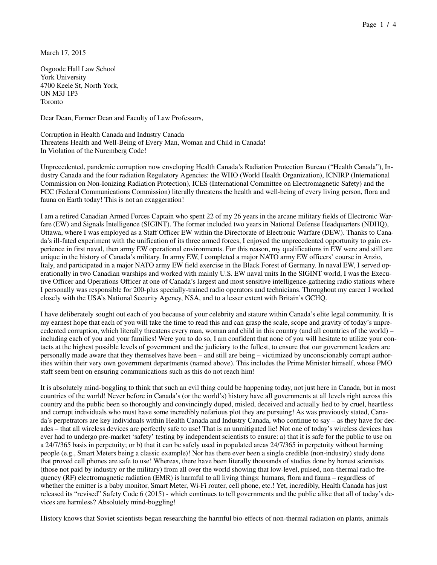March 17, 2015

Osgoode Hall Law School York University 4700 Keele St, North York, ON M3J 1P3 Toronto

Dear Dean, Former Dean and Faculty of Law Professors,

Corruption in Health Canada and Industry Canada Threatens Health and Well-Being of Every Man, Woman and Child in Canada! In Violation of the Nuremberg Code!

Unprecedented, pandemic corruption now enveloping Health Canada's Radiation Protection Bureau ("Health Canada"), Industry Canada and the four radiation Regulatory Agencies: the WHO (World Health Organization), ICNIRP (International Commission on Non-Ionizing Radiation Protection), ICES (International Committee on Electromagnetic Safety) and the FCC (Federal Communications Commission) literally threatens the health and well-being of every living person, flora and fauna on Earth today! This is not an exaggeration!

I am a retired Canadian Armed Forces Captain who spent 22 of my 26 years in the arcane military fields of Electronic Warfare (EW) and Signals Intelligence (SIGINT). The former included two years in National Defense Headquarters (NDHQ), Ottawa, where I was employed as a Staff Officer EW within the Directorate of Electronic Warfare (DEW). Thanks to Canada's ill-fated experiment with the unification of its three armed forces, I enjoyed the unprecedented opportunity to gain experience in first naval, then army EW operational environments. For this reason, my qualifications in EW were and still are unique in the history of Canada's military. In army EW, I completed a major NATO army EW officers' course in Anzio, Italy, and participated in a major NATO army EW field exercise in the Black Forest of Germany. In naval EW, I served operationally in two Canadian warships and worked with mainly U.S. EW naval units In the SIGINT world, I was the Executive Officer and Operations Officer at one of Canada's largest and most sensitive intelligence-gathering radio stations where I personally was responsible for 200-plus specially-trained radio operators and technicians. Throughout my career I worked closely with the USA's National Security Agency, NSA, and to a lesser extent with Britain's GCHQ.

I have deliberately sought out each of you because of your celebrity and stature within Canada's elite legal community. It is my earnest hope that each of you will take the time to read this and can grasp the scale, scope and gravity of today's unprecedented corruption, which literally threatens every man, woman and child in this country (and all countries of the world) – including each of you and your families! Were you to do so, I am confident that none of you will hesitate to utilize your contacts at the highest possible levels of government and the judiciary to the fullest, to ensure that our government leaders are personally made aware that they themselves have been – and still are being – victimized by unconscionably corrupt authorities within their very own government departments (named above). This includes the Prime Minister himself, whose PMO staff seem bent on ensuring communications such as this do not reach him!

It is absolutely mind-boggling to think that such an evil thing could be happening today, not just here in Canada, but in most countries of the world! Never before in Canada's (or the world's) history have all governments at all levels right across this country and the public been so thoroughly and convincingly duped, misled, deceived and actually lied to by cruel, heartless and corrupt individuals who must have some incredibly nefarious plot they are pursuing! As was previously stated, Canada's perpetrators are key individuals within Health Canada and Industry Canada, who continue to say – as they have for decades – that all wireless devices are perfectly safe to use! That is an unmitigated lie! Not one of today's wireless devices has ever had to undergo pre-market 'safety' testing by independent scientists to ensure: a) that it is safe for the public to use on a 24/7/365 basis in perpetuity; or b) that it can be safely used in populated areas 24/7/365 in perpetuity without harming people (e.g., Smart Meters being a classic example)! Nor has there ever been a single credible (non-industry) study done that proved cell phones are safe to use! Whereas, there have been literally thousands of studies done by honest scientists (those not paid by industry or the military) from all over the world showing that low-level, pulsed, non-thermal radio frequency (RF) electromagnetic radiation (EMR) is harmful to all living things: humans, flora and fauna – regardless of whether the emitter is a baby monitor, Smart Meter, Wi-Fi router, cell phone, etc.! Yet, incredibly, Health Canada has just released its "revised" Safety Code 6 (2015) - which continues to tell governments and the public alike that all of today's devices are harmless? Absolutely mind-boggling!

History knows that Soviet scientists began researching the harmful bio-effects of non-thermal radiation on plants, animals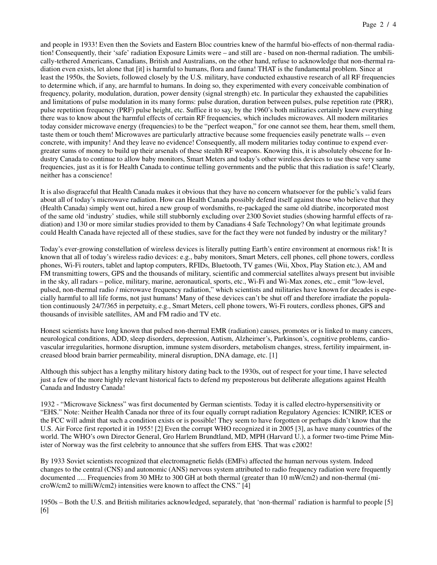and people in 1933! Even then the Soviets and Eastern Bloc countries knew of the harmful bio-effects of non-thermal radiation! Consequently, their 'safe' radiation Exposure Limits were – and still are - based on non-thermal radiation. The umbilically-tethered Americans, Canadians, British and Australians, on the other hand, refuse to acknowledge that non-thermal radiation even exists, let alone that [it] is harmful to humans, flora and fauna! THAT is the fundamental problem. Since at least the 1950s, the Soviets, followed closely by the U.S. military, have conducted exhaustive research of all RF frequencies to determine which, if any, are harmful to humans. In doing so, they experimented with every conceivable combination of frequency, polarity, modulation, duration, power density (signal strength) etc. In particular they exhausted the capabilities and limitations of pulse modulation in its many forms: pulse duration, duration between pulses, pulse repetition rate (PRR), pulse repetition frequency (PRF) pulse height, etc. Suffice it to say, by the 1960's both militaries certainly knew everything there was to know about the harmful effects of certain RF frequencies, which includes microwaves. All modern militaries today consider microwave energy (frequencies) to be the "perfect weapon," for one cannot see them, hear them, smell them, taste them or touch them! Microwaves are particularly attractive because some frequencies easily penetrate walls -- even concrete, with impunity! And they leave no evidence! Consequently, all modern militaries today continue to expend evergreater sums of money to build up their arsenals of these stealth RF weapons. Knowing this, it is absolutely obscene for Industry Canada to continue to allow baby monitors, Smart Meters and today's other wireless devices to use these very same frequencies, just as it is for Health Canada to continue telling governments and the public that this radiation is safe! Clearly, neither has a conscience!

It is also disgraceful that Health Canada makes it obvious that they have no concern whatsoever for the public's valid fears about all of today's microwave radiation. How can Health Canada possibly defend itself against those who believe that they (Health Canada) simply went out, hired a new group of wordsmiths, re-packaged the same old diatribe, incorporated most of the same old 'industry' studies, while still stubbornly excluding over 2300 Soviet studies (showing harmful effects of radiation) and 130 or more similar studies provided to them by Canadians 4 Safe Technology? On what legitimate grounds could Health Canada have rejected all of these studies, save for the fact they were not funded by industry or the military?

Today's ever-growing constellation of wireless devices is literally putting Earth's entire environment at enormous risk! It is known that all of today's wireless radio devices: e.g., baby monitors, Smart Meters, cell phones, cell phone towers, cordless phones, Wi-Fi routers, tablet and laptop computers, RFIDs, Bluetooth, TV games (Wii, Xbox, Play Station etc.), AM and FM transmitting towers, GPS and the thousands of military, scientific and commercial satellites always present but invisible in the sky, all radars – police, military, marine, aeronautical, sports, etc., Wi-Fi and Wi-Max zones, etc., emit "low-level, pulsed, non-thermal radio / microwave frequency radiation," which scientists and militaries have known for decades is especially harmful to all life forms, not just humans! Many of these devices can't be shut off and therefore irradiate the population continuously 24/7/365 in perpetuity, e.g., Smart Meters, cell phone towers, Wi-Fi routers, cordless phones, GPS and thousands of invisible satellites, AM and FM radio and TV etc.

Honest scientists have long known that pulsed non-thermal EMR (radiation) causes, promotes or is linked to many cancers, neurological conditions, ADD, sleep disorders, depression, Autism, Alzheimer's, Parkinson's, cognitive problems, cardiovascular irregularities, hormone disruption, immune system disorders, metabolism changes, stress, fertility impairment, increased blood brain barrier permeability, mineral disruption, DNA damage, etc. [1]

Although this subject has a lengthy military history dating back to the 1930s, out of respect for your time, I have selected just a few of the more highly relevant historical facts to defend my preposterous but deliberate allegations against Health Canada and Industry Canada!

1932 - "Microwave Sickness" was first documented by German scientists. Today it is called electro-hypersensitivity or "EHS." Note: Neither Health Canada nor three of its four equally corrupt radiation Regulatory Agencies: ICNIRP, ICES or the FCC will admit that such a condition exists or is possible! They seem to have forgotten or perhaps didn't know that the U.S. Air Force first reported it in 1955! [2] Even the corrupt WHO recognized it in 2005 [3], as have many countries of the world. The WHO's own Director General, Gro Harlem Brundtland, MD, MPH (Harvard U.), a former two-time Prime Minister of Norway was the first celebrity to announce that she suffers from EHS. That was c2002!

By 1933 Soviet scientists recognized that electromagnetic fields (EMFs) affected the human nervous system. Indeed changes to the central (CNS) and autonomic (ANS) nervous system attributed to radio frequency radiation were frequently documented ..... Frequencies from 30 MHz to 300 GH at both thermal (greater than 10 mW/cm2) and non-thermal (microW/cm2 to milliW/cm2) intensities were known to affect the CNS." [4]

1950s – Both the U.S. and British militaries acknowledged, separately, that 'non-thermal' radiation is harmful to people [5] [6]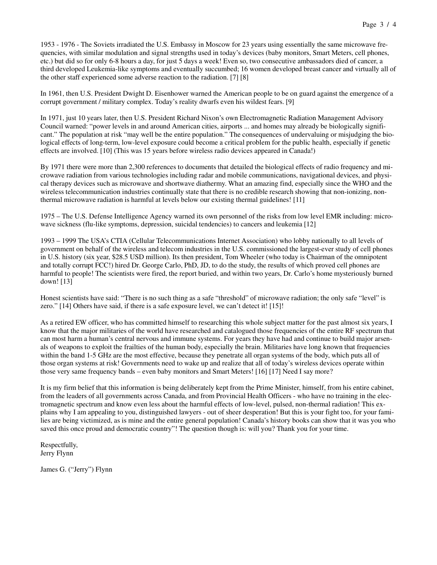1953 - 1976 - The Soviets irradiated the U.S. Embassy in Moscow for 23 years using essentially the same microwave frequencies, with similar modulation and signal strengths used in today's devices (baby monitors, Smart Meters, cell phones, etc.) but did so for only 6-8 hours a day, for just 5 days a week! Even so, two consecutive ambassadors died of cancer, a third developed Leukemia-like symptoms and eventually succumbed; 16 women developed breast cancer and virtually all of the other staff experienced some adverse reaction to the radiation. [7] [8]

In 1961, then U.S. President Dwight D. Eisenhower warned the American people to be on guard against the emergence of a corrupt government / military complex. Today's reality dwarfs even his wildest fears. [9]

In 1971, just 10 years later, then U.S. President Richard Nixon's own Electromagnetic Radiation Management Advisory Council warned: "power levels in and around American cities, airports ... and homes may already be biologically significant." The population at risk "may well be the entire population." The consequences of undervaluing or misjudging the biological effects of long-term, low-level exposure could become a critical problem for the public health, especially if genetic effects are involved. [10] (This was 15 years before wireless radio devices appeared in Canada!)

By 1971 there were more than 2,300 references to documents that detailed the biological effects of radio frequency and microwave radiation from various technologies including radar and mobile communications, navigational devices, and physical therapy devices such as microwave and shortwave diathermy. What an amazing find, especially since the WHO and the wireless telecommunication industries continually state that there is no credible research showing that non-ionizing, nonthermal microwave radiation is harmful at levels below our existing thermal guidelines! [11]

1975 – The U.S. Defense Intelligence Agency warned its own personnel of the risks from low level EMR including: microwave sickness (flu-like symptoms, depression, suicidal tendencies) to cancers and leukemia [12]

1993 – 1999 The USA's CTIA (Cellular Telecommunications Internet Association) who lobby nationally to all levels of government on behalf of the wireless and telecom industries in the U.S. commissioned the largest-ever study of cell phones in U.S. history (six year, \$28.5 USD million). Its then president, Tom Wheeler (who today is Chairman of the omnipotent and totally corrupt FCC!) hired Dr. George Carlo, PhD, JD, to do the study, the results of which proved cell phones are harmful to people! The scientists were fired, the report buried, and within two years, Dr. Carlo's home mysteriously burned down! [13]

Honest scientists have said: "There is no such thing as a safe "threshold" of microwave radiation; the only safe "level" is zero." [14] Others have said, if there is a safe exposure level, we can't detect it! [15]!

As a retired EW officer, who has committed himself to researching this whole subject matter for the past almost six years, I know that the major militaries of the world have researched and catalogued those frequencies of the entire RF spectrum that can most harm a human's central nervous and immune systems. For years they have had and continue to build major arsenals of weapons to exploit the frailties of the human body, especially the brain. Militaries have long known that frequencies within the band 1-5 GHz are the most effective, because they penetrate all organ systems of the body, which puts all of those organ systems at risk! Governments need to wake up and realize that all of today's wireless devices operate within those very same frequency bands – even baby monitors and Smart Meters! [16] [17] Need I say more?

It is my firm belief that this information is being deliberately kept from the Prime Minister, himself, from his entire cabinet, from the leaders of all governments across Canada, and from Provincial Health Officers - who have no training in the electromagnetic spectrum and know even less about the harmful effects of low-level, pulsed, non-thermal radiation! This explains why I am appealing to you, distinguished lawyers - out of sheer desperation! But this is your fight too, for your families are being victimized, as is mine and the entire general population! Canada's history books can show that it was you who saved this once proud and democratic country"! The question though is: will you? Thank you for your time.

Respectfully, Jerry Flynn

James G. ("Jerry") Flynn